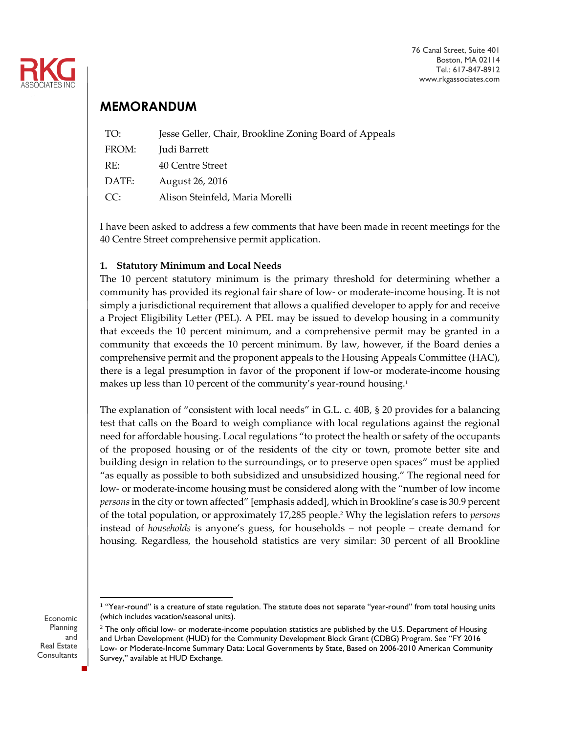

76 Canal Street, Suite 401 Boston, MA 02114 Tel.: 617-847-8912 www.rkgassociates.com

## **MEMORANDUM**

| TO:   | Jesse Geller, Chair, Brookline Zoning Board of Appeals |
|-------|--------------------------------------------------------|
| FROM: | Judi Barrett                                           |
| RE:   | 40 Centre Street                                       |
| DATE: | August 26, 2016                                        |
| CC:   | Alison Steinfeld, Maria Morelli                        |
|       |                                                        |

I have been asked to address a few comments that have been made in recent meetings for the 40 Centre Street comprehensive permit application.

## **1. Statutory Minimum and Local Needs**

The 10 percent statutory minimum is the primary threshold for determining whether a community has provided its regional fair share of low- or moderate-income housing. It is not simply a jurisdictional requirement that allows a qualified developer to apply for and receive a Project Eligibility Letter (PEL). A PEL may be issued to develop housing in a community that exceeds the 10 percent minimum, and a comprehensive permit may be granted in a community that exceeds the 10 percent minimum. By law, however, if the Board denies a comprehensive permit and the proponent appeals to the Housing Appeals Committee (HAC), there is a legal presumption in favor of the proponent if low-or moderate-income housing makes up less than 10 percent of the community's year-round housing.<sup>1</sup>

The explanation of "consistent with local needs" in G.L. c. 40B, § 20 provides for a balancing test that calls on the Board to weigh compliance with local regulations against the regional need for affordable housing. Local regulations "to protect the health or safety of the occupants of the proposed housing or of the residents of the city or town, promote better site and building design in relation to the surroundings, or to preserve open spaces" must be applied "as equally as possible to both subsidized and unsubsidized housing." The regional need for low- or moderate-income housing must be considered along with the "number of low income *persons*in the city or town affected" [emphasis added], which in Brookline's case is 30.9 percent of the total population, or approximately 17,285 people.<sup>2</sup> Why the legislation refers to *persons* instead of *households* is anyone's guess, for households – not people – create demand for housing. Regardless, the household statistics are very similar: 30 percent of all Brookline

Economic Planning and Real Estate **Consultants** 

 1 "Year-round" is a creature of state regulation. The statute does not separate "year-round" from total housing units (which includes vacation/seasonal units).

 $2$  The only official low- or moderate-income population statistics are published by the U.S. Department of Housing and Urban Development (HUD) for the Community Development Block Grant (CDBG) Program. See "FY 2016 Low- or Moderate-Income Summary Data: Local Governments by State, Based on 2006-2010 American Community Survey," available at HUD Exchange.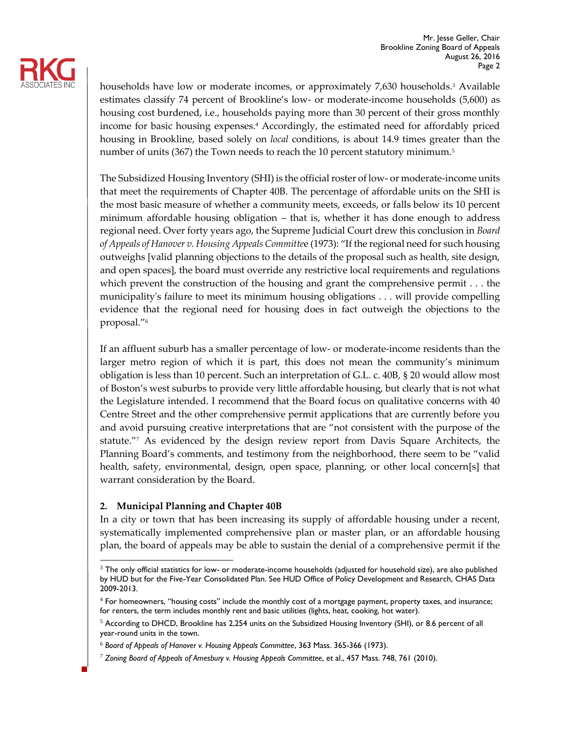

households have low or moderate incomes, or approximately 7,630 households.<sup>3</sup> Available estimates classify 74 percent of Brookline's low- or moderate-income households (5,600) as housing cost burdened, i.e., households paying more than 30 percent of their gross monthly income for basic housing expenses.<sup>4</sup> Accordingly, the estimated need for affordably priced housing in Brookline, based solely on *local* conditions, is about 14.9 times greater than the number of units (367) the Town needs to reach the 10 percent statutory minimum.<sup>5</sup>

The Subsidized Housing Inventory (SHI) is the official roster of low- or moderate-income units that meet the requirements of Chapter 40B. The percentage of affordable units on the SHI is the most basic measure of whether a community meets, exceeds, or falls below its 10 percent minimum affordable housing obligation – that is, whether it has done enough to address regional need. Over forty years ago, the Supreme Judicial Court drew this conclusion in *Board of Appeals of Hanover v. Housing Appeals Committe*e (1973): "If the regional need for such housing outweighs [valid planning objections to the details of the proposal such as health, site design, and open spaces], the board must override any restrictive local requirements and regulations which prevent the construction of the housing and grant the comprehensive permit . . . the municipality's failure to meet its minimum housing obligations . . . will provide compelling evidence that the regional need for housing does in fact outweigh the objections to the proposal."<sup>6</sup>

If an affluent suburb has a smaller percentage of low- or moderate-income residents than the larger metro region of which it is part, this does not mean the community's minimum obligation is less than 10 percent. Such an interpretation of G.L. c. 40B, § 20 would allow most of Boston's west suburbs to provide very little affordable housing, but clearly that is not what the Legislature intended. I recommend that the Board focus on qualitative concerns with 40 Centre Street and the other comprehensive permit applications that are currently before you and avoid pursuing creative interpretations that are "not consistent with the purpose of the statute."<sup>7</sup> As evidenced by the design review report from Davis Square Architects, the Planning Board's comments, and testimony from the neighborhood, there seem to be "valid health, safety, environmental, design, open space, planning, or other local concern[s] that warrant consideration by the Board.

## **2. Municipal Planning and Chapter 40B**

In a city or town that has been increasing its supply of affordable housing under a recent, systematically implemented comprehensive plan or master plan, or an affordable housing plan, the board of appeals may be able to sustain the denial of a comprehensive permit if the

j  $3$  The only official statistics for low- or moderate-income households (adjusted for household size), are also published by HUD but for the Five-Year Consolidated Plan. See HUD Office of Policy Development and Research, CHAS Data 2009-2013.

<sup>&</sup>lt;sup>4</sup> For homeowners, "housing costs" include the monthly cost of a mortgage payment, property taxes, and insurance; for renters, the term includes monthly rent and basic utilities (lights, heat, cooking, hot water).

<sup>5</sup> According to DHCD, Brookline has 2,254 units on the Subsidized Housing Inventory (SHI), or 8.6 percent of all year-round units in the town.

<sup>6</sup> *Board of Appeals of Hanover v. Housing Appeals Committee*, 363 Mass. 365-366 (1973).

<sup>7</sup> *Zoning Board of Appeals of Amesbury v. Housing Appeals Committee*, et al., 457 Mass. 748, 761 (2010).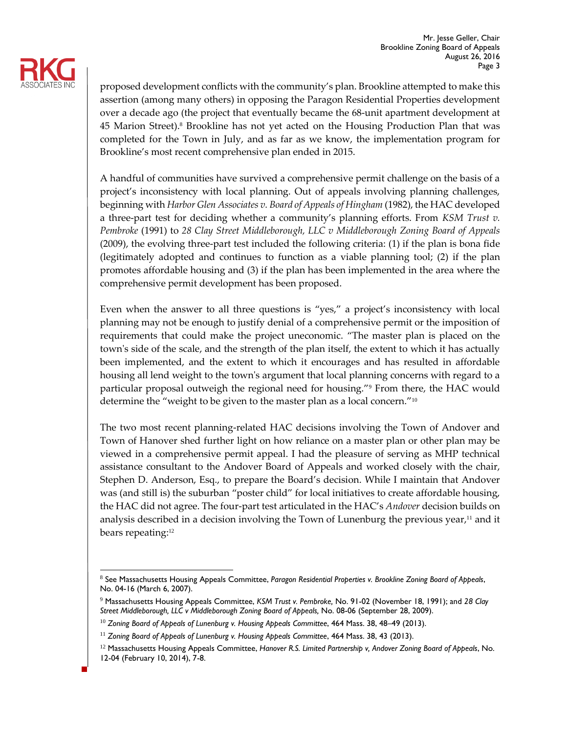

proposed development conflicts with the community's plan. Brookline attempted to make this assertion (among many others) in opposing the Paragon Residential Properties development over a decade ago (the project that eventually became the 68-unit apartment development at 45 Marion Street).<sup>8</sup> Brookline has not yet acted on the Housing Production Plan that was completed for the Town in July, and as far as we know, the implementation program for Brookline's most recent comprehensive plan ended in 2015.

A handful of communities have survived a comprehensive permit challenge on the basis of a project's inconsistency with local planning. Out of appeals involving planning challenges, beginning with *Harbor Glen Associates v. Board of Appeals of Hingham* (1982), the HAC developed a three-part test for deciding whether a community's planning efforts. From *KSM Trust v. Pembroke* (1991) to *28 Clay Street Middleborough, LLC v Middleborough Zoning Board of Appeals* (2009), the evolving three-part test included the following criteria: (1) if the plan is bona fide (legitimately adopted and continues to function as a viable planning tool; (2) if the plan promotes affordable housing and (3) if the plan has been implemented in the area where the comprehensive permit development has been proposed.

Even when the answer to all three questions is "yes," a project's inconsistency with local planning may not be enough to justify denial of a comprehensive permit or the imposition of requirements that could make the project uneconomic. "The master plan is placed on the town's side of the scale, and the strength of the plan itself, the extent to which it has actually been implemented, and the extent to which it encourages and has resulted in affordable housing all lend weight to the town's argument that local planning concerns with regard to a particular proposal outweigh the regional need for housing."<sup>9</sup> From there, the HAC would determine the "weight to be given to the master plan as a local concern."<sup>10</sup>

The two most recent planning-related HAC decisions involving the Town of Andover and Town of Hanover shed further light on how reliance on a master plan or other plan may be viewed in a comprehensive permit appeal. I had the pleasure of serving as MHP technical assistance consultant to the Andover Board of Appeals and worked closely with the chair, Stephen D. Anderson, Esq., to prepare the Board's decision. While I maintain that Andover was (and still is) the suburban "poster child" for local initiatives to create affordable housing, the HAC did not agree. The four-part test articulated in the HAC's *Andover* decision builds on analysis described in a decision involving the Town of Lunenburg the previous year, <sup>11</sup> and it bears repeating:<sup>12</sup>

j <sup>8</sup> See Massachusetts Housing Appeals Committee, *Paragon Residential Properties v. Brookline Zoning Board of Appeals*, No. 04-16 (March 6, 2007).

<sup>9</sup> Massachusetts Housing Appeals Committee, *KSM Trust v. Pembroke,* No. 91-02 (November 18, 1991); and *28 Clay Street Middleborough, LLC v Middleborough Zoning Board of Appeals,* No. 08-06 (September 28, 2009).

<sup>&</sup>lt;sup>10</sup> Zoning Board of Appeals of Lunenburg v. Housing Appeals Committee, 464 Mass. 38, 48-49 (2013).

<sup>&</sup>lt;sup>11</sup> Zoning Board of Appeals of Lunenburg v. Housing Appeals Committee, 464 Mass. 38, 43 (2013).

<sup>12</sup> Massachusetts Housing Appeals Committee, *Hanover R.S. Limited Partnership v, Andover Zoning Board of Appeals*, No. 12-04 (February 10, 2014), 7-8.